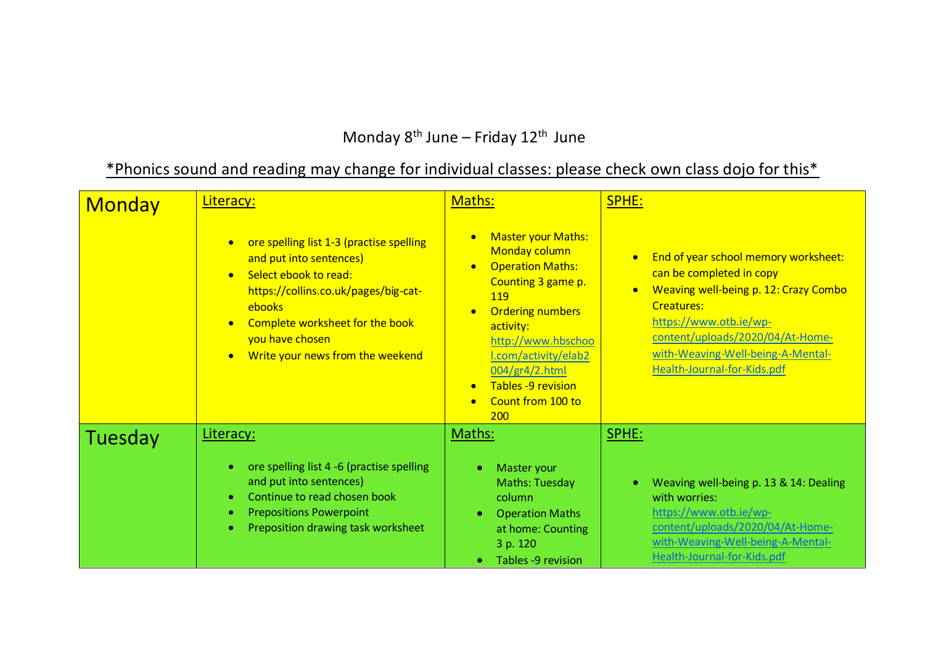## Monday  $8^{th}$  June – Friday 12<sup>th</sup> June

## \*Phonics sound and reading may change for individual classes: please check own class dojo for this\*

| <b>Monday</b> | Literacy:                                                                                                                                                                                                                                                                       | Maths:                                                                                                                                                                                                                                                                                              | SPHE:                                                                                                                                                                                                                                                                         |
|---------------|---------------------------------------------------------------------------------------------------------------------------------------------------------------------------------------------------------------------------------------------------------------------------------|-----------------------------------------------------------------------------------------------------------------------------------------------------------------------------------------------------------------------------------------------------------------------------------------------------|-------------------------------------------------------------------------------------------------------------------------------------------------------------------------------------------------------------------------------------------------------------------------------|
|               | ore spelling list 1-3 (practise spelling<br>and put into sentences)<br>Select ebook to read:<br>$\bullet$<br>https://collins.co.uk/pages/big-cat-<br>ebooks<br>Complete worksheet for the book<br>$\bullet$<br>you have chosen<br>Write your news from the weekend<br>$\bullet$ | <b>Master your Maths:</b><br>Monday column<br><b>Operation Maths:</b><br>$\bullet$<br>Counting 3 game p.<br>119<br><b>Ordering numbers</b><br>activity:<br>http://www.hbschoo<br>I.com/activity/elab2<br>004/gr4/2.html<br>Tables -9 revision<br>$\bullet$<br>Count from 100 to<br>$\bullet$<br>200 | End of year school memory worksheet:<br>can be completed in copy<br>Weaving well-being p. 12: Crazy Combo<br>$\bullet$<br><b>Creatures:</b><br>https://www.otb.ie/wp-<br>content/uploads/2020/04/At-Home-<br>with-Weaving-Well-being-A-Mental-<br>Health-Journal-for-Kids.pdf |
| Tuesday       | Literacy:                                                                                                                                                                                                                                                                       | Maths:                                                                                                                                                                                                                                                                                              | SPHE:                                                                                                                                                                                                                                                                         |
|               | ore spelling list 4 -6 (practise spelling<br>and put into sentences)<br>Continue to read chosen book<br><b>Prepositions Powerpoint</b><br>Preposition drawing task worksheet<br>$\bullet$                                                                                       | Master your<br>Maths: Tuesday<br>column<br><b>Operation Maths</b><br>at home: Counting<br>3 p. 120<br>Tables -9 revision                                                                                                                                                                            | Weaving well-being p. 13 & 14: Dealing<br>with worries:<br>https://www.otb.ie/wp-<br>content/uploads/2020/04/At-Home-<br>with-Weaving-Well-being-A-Mental-<br>Health-Journal-for-Kids.pdf                                                                                     |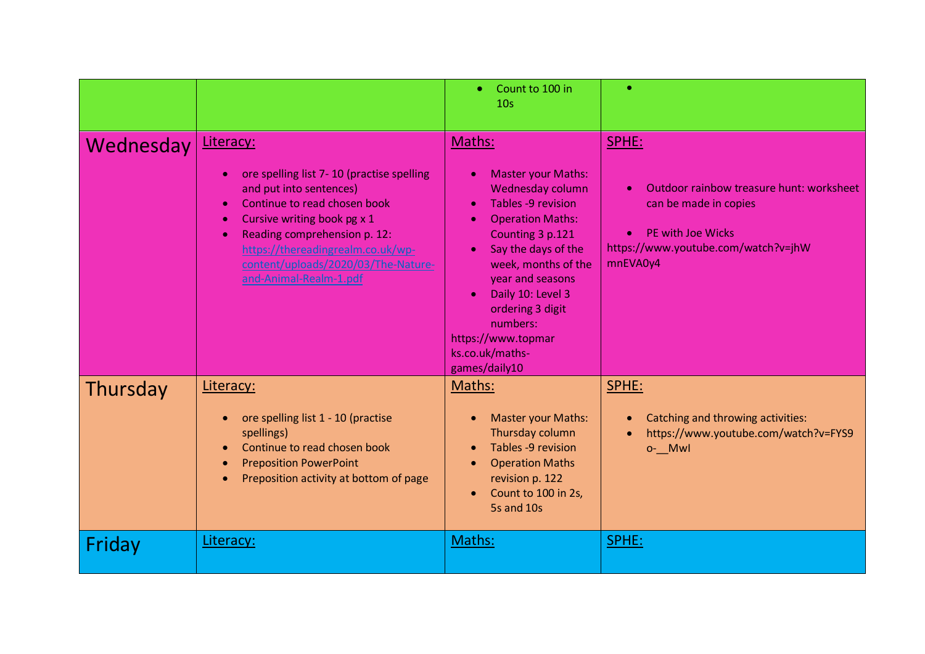|           |                                                                                                                                                                                                                                                                                                                               | Count to 100 in<br>$\bullet$<br>10 <sub>s</sub>                                                                                                                                                                                                                                                                                                      |                                                                                                                                                                 |
|-----------|-------------------------------------------------------------------------------------------------------------------------------------------------------------------------------------------------------------------------------------------------------------------------------------------------------------------------------|------------------------------------------------------------------------------------------------------------------------------------------------------------------------------------------------------------------------------------------------------------------------------------------------------------------------------------------------------|-----------------------------------------------------------------------------------------------------------------------------------------------------------------|
| Wednesday | Literacy:<br>ore spelling list 7-10 (practise spelling<br>$\bullet$<br>and put into sentences)<br>Continue to read chosen book<br>Cursive writing book pg x 1<br>$\bullet$<br>Reading comprehension p. 12:<br>$\bullet$<br>https://thereadingrealm.co.uk/wp-<br>content/uploads/2020/03/The-Nature-<br>and-Animal-Realm-1.pdf | Maths:<br><b>Master your Maths:</b><br>$\bullet$<br>Wednesday column<br>Tables -9 revision<br><b>Operation Maths:</b><br>$\bullet$<br>Counting 3 p.121<br>Say the days of the<br>week, months of the<br>year and seasons<br>Daily 10: Level 3<br>$\bullet$<br>ordering 3 digit<br>numbers:<br>https://www.topmar<br>ks.co.uk/maths-<br>games/daily10 | SPHE:<br>Outdoor rainbow treasure hunt: worksheet<br>can be made in copies<br>PE with Joe Wicks<br>$\bullet$<br>https://www.youtube.com/watch?v=jhW<br>mnEVA0y4 |
| Thursday  | Literacy:<br>ore spelling list 1 - 10 (practise<br>spellings)<br>Continue to read chosen book<br><b>Preposition PowerPoint</b><br>Preposition activity at bottom of page                                                                                                                                                      | Maths:<br>Master your Maths:<br>$\bullet$<br>Thursday column<br>Tables -9 revision<br><b>Operation Maths</b><br>$\bullet$<br>revision p. 122<br>Count to 100 in 2s,<br>5s and 10s                                                                                                                                                                    | SPHE:<br>Catching and throwing activities:<br>https://www.youtube.com/watch?v=FYS9<br>o-__Mwl                                                                   |
| Friday    | Literacy:                                                                                                                                                                                                                                                                                                                     | Maths:                                                                                                                                                                                                                                                                                                                                               | SPHE:                                                                                                                                                           |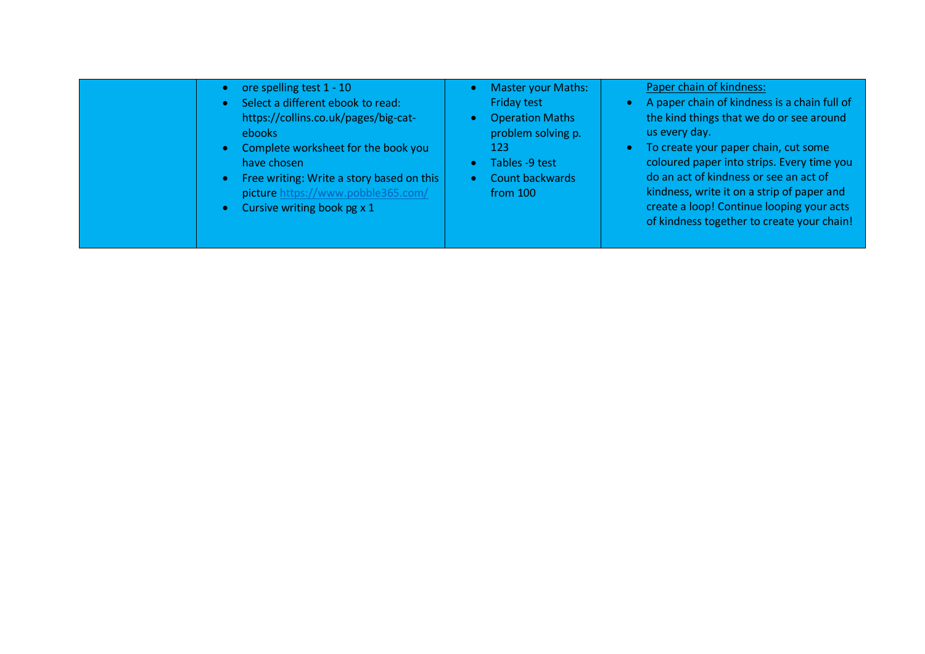| ore spelling test 1 - 10<br>۰<br>Select a different ebook to read:<br>$\bullet$<br>https://collins.co.uk/pages/big-cat-<br>ebooks<br>Complete worksheet for the book you<br>$\bullet$<br>have chosen<br>Free writing: Write a story based on this<br>$\bullet$<br>picture https://www.pobble365.com/<br>Cursive writing book $pg \times 1$<br>$\bullet$ | Master your Maths:<br>Friday test<br><b>Operation Maths</b><br>problem solving p.<br>123<br>Tables -9 test<br><b>Count backwards</b><br>from 100 | Paper chain of kindness:<br>A paper chain of kindness is a chain full of<br>the kind things that we do or see around<br>us every day.<br>To create your paper chain, cut some<br><b>A</b><br>coloured paper into strips. Every time you<br>do an act of kindness or see an act of<br>kindness, write it on a strip of paper and<br>create a loop! Continue looping your acts<br>of kindness together to create your chain! |
|---------------------------------------------------------------------------------------------------------------------------------------------------------------------------------------------------------------------------------------------------------------------------------------------------------------------------------------------------------|--------------------------------------------------------------------------------------------------------------------------------------------------|----------------------------------------------------------------------------------------------------------------------------------------------------------------------------------------------------------------------------------------------------------------------------------------------------------------------------------------------------------------------------------------------------------------------------|
|---------------------------------------------------------------------------------------------------------------------------------------------------------------------------------------------------------------------------------------------------------------------------------------------------------------------------------------------------------|--------------------------------------------------------------------------------------------------------------------------------------------------|----------------------------------------------------------------------------------------------------------------------------------------------------------------------------------------------------------------------------------------------------------------------------------------------------------------------------------------------------------------------------------------------------------------------------|